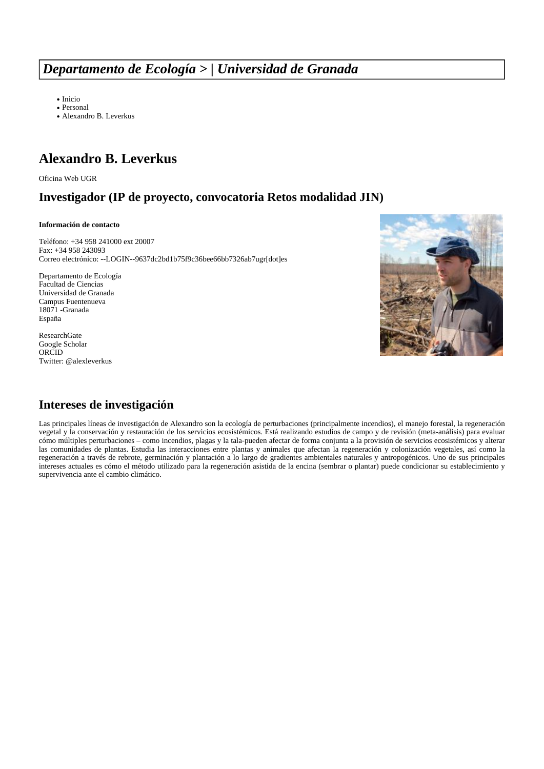# *Departamento de Ecología > | Universidad de Granada*

[Inicio](https://ecologia.ugr.es/)

[Personal](https://ecologia.ugr.es/pages/personal/index) [Alexandro](https://ecologia.ugr.es/pages/personal/leverkus/index) [B.](https://ecologia.ugr.es/pages/personal/leverkus/index) [Leverkus](https://ecologia.ugr.es/pages/personal/leverkus/index)

# **Alexandro B. Leverkus**

[Oficina](http://ofiweb.ugr.es) [Web](http://ofiweb.ugr.es) [UGR](http://ofiweb.ugr.es)

### **Investigador (IP de proyecto, convocatoria Retos modalidad JIN)**

#### **Información de contacto**

Teléfono: +34 958 241000 ext 20007 Fax: +34 958 243093 Correo electrónico: [--LOGIN--9637dc2bd1b75f9c36bee66bb7326ab7ugr\[dot\]es](https://ecologia.ugr.es/pages/--LOGIN--9637dc2bd1b75f9c36bee66bb7326ab7ugr[dot]es)

Departamento de Ecología Facultad de [C](http://www.ugr.es)iencias [Universidad](http://www.ugr.es) [de](http://www.ugr.es) [Granada](http://www.ugr.es) Campus Fuentenueva 18071 -Granada España



[ResearchGate](https://ecologia.ugr.es/pages/www.researchgate.net/profile/Alex_Leverkus) [Google](https://scholar.google.es/citations?user=ngJWcFUAAAAJ&hl=es) [Scholar](https://scholar.google.es/citations?user=ngJWcFUAAAAJ&hl=es) [ORCID](http://orcid.org/0000-0001-5452-3614) Twitter: [@alexleverkus](https://twitter.com/alexleverkus)

### **Intereses de investigación**

Las principales líneas de investigación de Alexandro son la ecología de perturbaciones (principalmente incendios), el manejo forestal, la regeneración vegetal y la conservación y restauración de los servicios ecosistémicos. Está realizando estudios de campo y de revisión (meta-análisis) para evaluar cómo múltiples perturbaciones – como incendios, plagas y la tala-pueden afectar de forma conjunta a la provisión de servicios ecosistémicos y alterar las comunidades de plantas. Estudia las interacciones entre plantas y animales que afectan la regeneración y colonización vegetales, así como la regeneración a través de rebrote, germinación y plantación a lo largo de gradientes ambientales naturales y antropogénicos. Uno de sus principales intereses actuales es cómo el método utilizado para la regeneración asistida de la encina (sembrar o plantar) puede condicionar su establecimiento y supervivencia ante el cambio climático.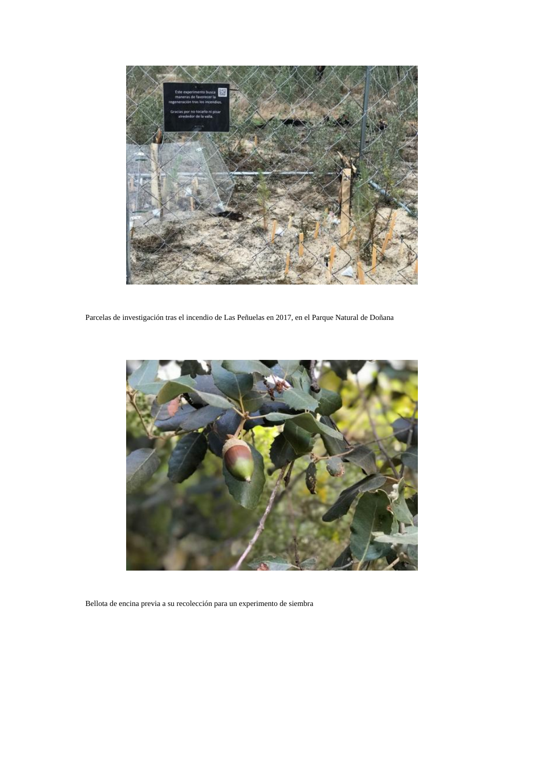

Parcelas de investigación tras el incendio de Las Peñuelas en 2017, en el Parque Natural de Doñana



Bellota de encina previa a su recolección para un experimento de siembra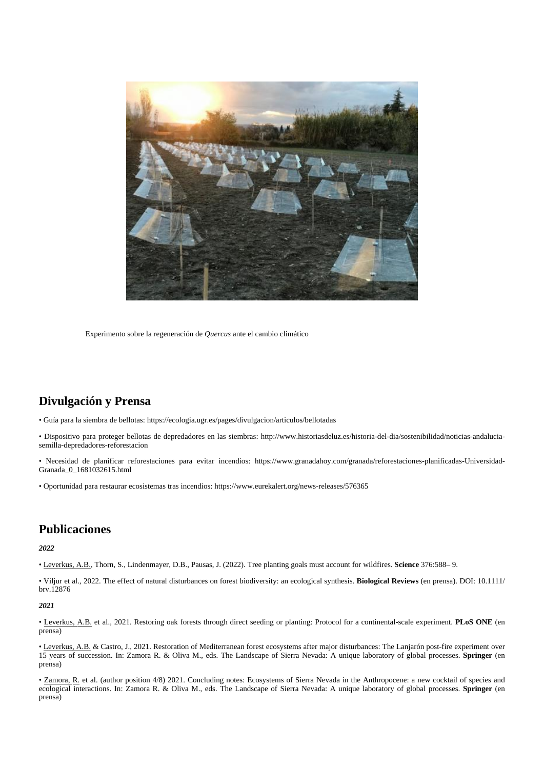

Experimento sobre la regeneración de *Quercus* ante el cambio climático

## **Divulgación y Prensa**

• Guía para la siembra de bellotas: <https://ecologia.ugr.es/pages/divulgacion/articulos/bellotadas>

• Dispositivo para proteger bellotas de depredadores en las siembras: [http://www.historiasdeluz.es/historia-del-dia/sostenibilidad/noticias-andalucia](http://www.historiasdeluz.es/historia-del-dia/sostenibilidad/noticias-andalucia-semilla-depredadores-reforestacion)[semilla-depredadores-reforestacion](http://www.historiasdeluz.es/historia-del-dia/sostenibilidad/noticias-andalucia-semilla-depredadores-reforestacion)

• Necesidad de planificar reforestaciones para evitar incendios: [https://www.granadahoy.com/granada/reforestaciones-planificadas-Universidad-](https://www.granadahoy.com/granada/reforestaciones-planificadas-Universidad-Granada_0_1681032615.html)[Granada\\_0\\_1681032615.html](https://www.granadahoy.com/granada/reforestaciones-planificadas-Universidad-Granada_0_1681032615.html)

• Oportunidad para restaurar ecosistemas tras incendios: <https://www.eurekalert.org/news-releases/576365>

### **Publicaciones**

#### *2022*

• Leverkus, A.B., Thorn, S., Lindenmayer, D.B., Pausas, J. (2022). Tree planting goals must account for wildfires. **Science** 376:588– 9.

• Viljur et al., 2022. The effect of natural disturbances on forest biodiversity: an ecological synthesis. **Biological Reviews** (en prensa). DOI: 10.1111/ brv.12876

#### *2021*

• Leverkus, A.B. et al., 2021. Restoring oak forests through direct seeding or planting: Protocol for a continental-scale experiment. **PLoS ONE** (en prensa)

• Leverkus, A.B. & Castro, J., 2021. Restoration of Mediterranean forest ecosystems after major disturbances: The Lanjarón post-fire experiment over 15 years of succession. In: Zamora R. & Oliva M., eds. The Landscape of Sierra Nevada: A unique laboratory of global processes. **Springer** (en prensa)

• Zamora, R. et al. (author position 4/8) 2021. Concluding notes: Ecosystems of Sierra Nevada in the Anthropocene: a new cocktail of species and ecological interactions. In: Zamora R. & Oliva M., eds. The Landscape of Sierra Nevada: A unique laboratory of global processes. **Springer** (en prensa)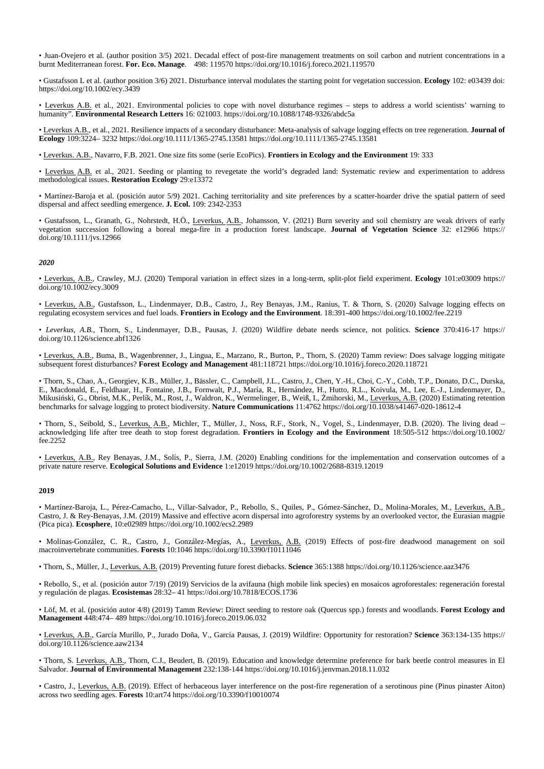• Juan-Ovejero et al. (author position 3/5) 2021. Decadal effect of post-fire management treatments on soil carbon and nutrient concentrations in a burnt Mediterranean forest. **For. Eco. Manage**. 498: 119570 <https://doi.org/10.1016/j.foreco.2021.119570>

• Gustafsson L et al. (author position 3/6) 2021. Disturbance interval modulates the starting point for vegetation succession. **Ecology** 102: e03439 doi: <https://doi.org/10.1002/ecy.3439>

• Leverkus A.B. et al., 2021. Environmental policies to cope with novel disturbance regimes – steps to address a world scientists' warning to humanity". **Environmental Research Letters** 16: 021003. <https://doi.org/10.1088/1748-9326/abdc5a>

• Leverkus A.B., et al., 2021. Resilience impacts of a secondary disturbance: Meta-analysis of salvage logging effects on tree regeneration. **Journal of Ecology** 109:3224– 3232 <https://doi.org/10.1111/1365-2745.13581> <https://doi.org/10.1111/1365-2745.13581>

• Leverkus. A.B., Navarro, F.B. 2021. One size fits some (serie EcoPics). **Frontiers in Ecology and the Environment** 19: 333

• Leverkus A.B. et al., 2021. Seeding or planting to revegetate the world's degraded land: Systematic review and experimentation to address methodological issues. **Restoration Ecology** 29:e13372

• Martínez-Baroja et al. (posición autor 5/9) 2021. Caching territoriality and site preferences by a scatter-hoarder drive the spatial pattern of seed dispersal and affect seedling emergence. **J. Ecol.** 109: 2342-2353

• Gustafsson, L., Granath, G., Nohrstedt, H.Ö., Leverkus, A.B., Johansson, V. (2021) Burn severity and soil chemistry are weak drivers of early vegetation succession following a boreal mega-fire in a production forest landscape. **Journal of Vegetation Science** 32: e12966 [https://](https://doi.org/10.1111/jvs.12966) [doi.org/10.1111/jvs.12966](https://doi.org/10.1111/jvs.12966)

#### *2020*

• Leverkus, A.B., Crawley, M.J. (2020) Temporal variation in effect sizes in a long-term, split-plot field experiment. **Ecology** 101:e03009 [https://](https://doi.org/10.1002/ecy.3009) [doi.org/10.1002/ecy.3009](https://doi.org/10.1002/ecy.3009)

• Leverkus, A.B., Gustafsson, L., Lindenmayer, D.B., Castro, J., Rey Benayas, J.M., Ranius, T. & Thorn, S. (2020) Salvage logging effects on regulating ecosystem services and fuel loads. **Frontiers in Ecology and the Environment**. 18:391-400 <https://doi.org/10.1002/fee.2219>

• *Leverkus, A.B.*, Thorn, S., Lindenmayer, D.B., Pausas, J. (2020) Wildfire debate needs science, not politics. **Science** 370:416-17 [https://](https://doi.org/10.1126/science.abf1326) [doi.org/10.1126/science.abf1326](https://doi.org/10.1126/science.abf1326)

• Leverkus, A.B., Buma, B., Wagenbrenner, J., Lingua, E., Marzano, R., Burton, P., Thorn, S. (2020) Tamm review: Does salvage logging mitigate subsequent forest disturbances? **Forest Ecology and Management** 481:118721 <https://doi.org/10.1016/j.foreco.2020.118721>

• Thorn, S., Chao, A., Georgiev, K.B., Müller, J., Bässler, C., Campbell, J.L., Castro, J., Chen, Y.-H., Choi, C.-Y., Cobb, T.P., Donato, D.C., Durska, E., Macdonald, E., Feldhaar, H., Fontaine, J.B., Fornwalt, P.J., María, R., Hernández, H., Hutto, R.L., Koivula, M., Lee, E.-J., Lindenmayer, D., Mikusiński, G., Obrist, M.K., Perlík, M., Rost, J., Waldron, K., Wermelinger, B., Weiß, I., Żmihorski, M., <u>Leverkus, A.B.</u> (2020) Estimating retention benchmarks for salvage logging to protect biodiversity. **Nature Communications** 11:4762 <https://doi.org/10.1038/s41467-020-18612-4>

• Thorn, S., Seibold, S., Leverkus, A.B., Michler, T., Müller, J., Noss, R.F., Stork, N., Vogel, S., Lindenmayer, D.B. (2020). The living dead acknowledging life after tree death to stop forest degradation. **Frontiers in Ecology and the Environment** 18:505-512 [https://doi.org/10.1002/](https://doi.org/10.1002/fee.2252) [fee.2252](https://doi.org/10.1002/fee.2252)

• Leverkus, A.B., Rey Benayas, J.M., Solís, P., Sierra, J.M. (2020) Enabling conditions for the implementation and conservation outcomes of a private nature reserve. **Ecological Solutions and Evidence** 1:e12019 <https://doi.org/10.1002/2688-8319.12019>

#### **2019**

• Martínez-Baroja, L., Pérez-Camacho, L., Villar-Salvador, P., Rebollo, S., Quiles, P., Gómez-Sánchez, D., Molina-Morales, M., Leverkus, A.B., Castro, J. & Rey-Benayas, J.M. (2019) Massive and effective acorn dispersal into agroforestry systems by an overlooked vector, the Eurasian magpie (Pica pica). **Ecosphere**, 10:e02989 <https://doi.org/10.1002/ecs2.2989>

• Molinas-González, C. R., Castro, J., González-Megías, A., Leverkus, A.B. (2019) Effects of post-fire deadwood management on soil macroinvertebrate communities. **Forests** 10:1046 <https://doi.org/10.3390/f10111046>

• Thorn, S., Müller, J., Leverkus, A.B. (2019) Preventing future forest diebacks. **Science** 365:1388 <https://doi.org/10.1126/science.aaz3476>

• Rebollo, S., et al. (posición autor 7/19) (2019) Servicios de la avifauna (high mobile link species) en mosaicos agroforestales: regeneración forestal y regulación de plagas. **Ecosistemas** 28:32– 41 <https://doi.org/10.7818/ECOS.1736>

• Löf, M. et al. (posición autor 4/8) (2019) Tamm Review: Direct seeding to restore oak (Quercus spp.) forests and woodlands. **Forest Ecology and Management** 448:474– 489 <https://doi.org/10.1016/j.foreco.2019.06.032>

• Leverkus, A.B., García Murillo, P., Jurado Doña, V., García Pausas, J. (2019) Wildfire: Opportunity for restoration? **Science** 363:134-135 [https://](https://doi.org/10.1126/science.aaw2134) [doi.org/10.1126/science.aaw2134](https://doi.org/10.1126/science.aaw2134)

• Thorn, S. Leverkus, A.B., Thorn, C.J., Beudert, B. (2019). Education and knowledge determine preference for bark beetle control measures in El Salvador. **Journal of Environmental Management** 232:138-144 <https://doi.org/10.1016/j.jenvman.2018.11.032>

• Castro, J., Leverkus, A.B. (2019). Effect of herbaceous layer interference on the post-fire regeneration of a serotinous pine (Pinus pinaster Aiton) across two seedling ages. **Forests** 10:art74 <https://doi.org/10.3390/f10010074>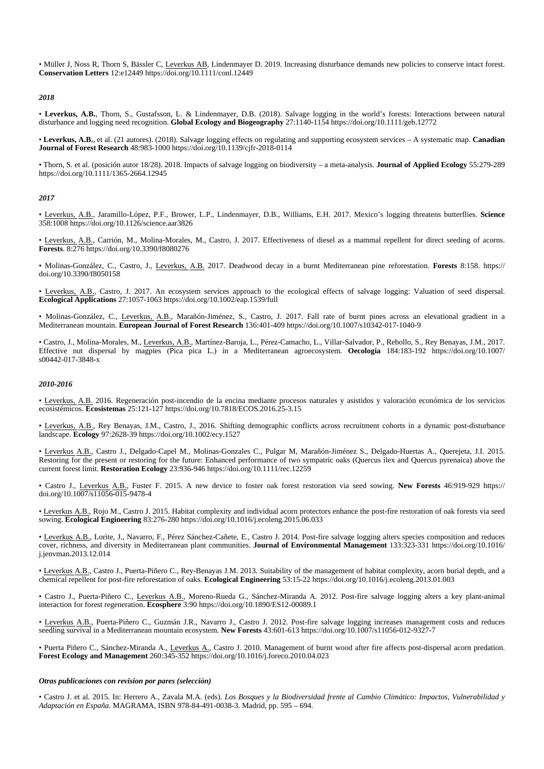• Müller J, Noss R, Thorn S, Bässler C, Leverkus AB, Lindenmayer D. 2019. Increasing disturbance demands new policies to conserve intact forest. **Conservation Letters** 12:e12449 <https://doi.org/10.1111/conl.12449>

#### *2018*

• **Leverkus, A.B.**, Thorn, S., Gustafsson, L. & Lindenmayer, D.B. (2018). Salvage logging in the world's forests: Interactions between natural disturbance and logging need recognition. **Global Ecology and Biogeography** 27:1140-1154 <https://doi.org/10.1111/geb.12772>

• **Leverkus, A.B.**, et al. (21 autores). (2018). Salvage logging effects on regulating and supporting ecosystem services – A systematic map. **Canadian Journal of Forest Research** 48:983-1000 <https://doi.org/10.1139/cjfr-2018-0114>

• Thorn, S. et al. (posición autor 18/28). 2018. Impacts of salvage logging on biodiversity – a meta-analysis. **Journal of Applied Ecology** 55:279-289 <https://doi.org/10.1111/1365-2664.12945>

#### *2017*

• Leverkus, A.B., Jaramillo-López, P.F., Brower, L.P., Lindenmayer, D.B., Williams, E.H. 2017. Mexico's logging threatens butterflies. **Science** 358:1008 <https://doi.org/10.1126/science.aar3826>

• Leverkus, A.B., Carrión, M., Molina-Morales, M., Castro, J. 2017. Effectiveness of diesel as a mammal repellent for direct seeding of acorns. **Forests**. 8:276 <https://doi.org/10.3390/f8080276>

• Molinas-González, C., Castro, J., Leverkus, A.B. 2017. Deadwood decay in a burnt Mediterranean pine reforestation. **Forests** 8:158. [https://](https://doi.org/10.3390/f8050158) [doi.org/10.3390/f8050158](https://doi.org/10.3390/f8050158)

• Leverkus, A.B., Castro, J. 2017. An ecosystem services approach to the ecological effects of salvage logging: Valuation of seed dispersal. **Ecological Applications** 27:1057-1063 <https://doi.org/10.1002/eap.1539/full>

• Molinas-González, C., Leverkus, A.B., Marañón-Jiménez, S., Castro, J. 2017. Fall rate of burnt pines across an elevational gradient in a Mediterranean mountain. **European Journal of Forest Research** 136:401-409 <https://doi.org/10.1007/s10342-017-1040-9>

• Castro, J., Molina-Morales, M., Leverkus, A.B., Martínez-Baroja, L., Pérez-Camacho, L., Villar-Salvador, P., Rebollo, S., Rey Benayas, J.M., 2017. Effective nut dispersal by magpies (Pica pica L.) in a Mediterranean agroecosystem. **Oecologia** 184:183-192 [https://doi.org/10.1007/](https://doi.org/10.1007/s00442-017-3848-x) [s00442-017-3848-x](https://doi.org/10.1007/s00442-017-3848-x)

#### *2010-2016*

• Leverkus, A.B. 2016. Regeneración post-incendio de la encina mediante procesos naturales y asistidos y valoración económica de los servicios ecosistémicos. **Ecosistemas** 25:121-127 <https://doi.org/10.7818/ECOS.2016.25-3.15>

• Leverkus, A.B., Rey Benayas, J.M., Castro, J., 2016. Shifting demographic conflicts across recruitment cohorts in a dynamic post-disturbance landscape. **Ecology** 97:2628-39 <https://doi.org/10.1002/ecy.1527>

• Leverkus A.B., Castro J., Delgado-Capel M., Molinas-Gonzales C., Pulgar M, Marañón-Jiménez S., Delgado-Huertas A., Querejeta, J.I. 2015. Restoring for the present or restoring for the future: Enhanced performance of two sympatric oaks (Quercus ilex and Quercus pyrenaica) above the current forest limit. **Restoration Ecology** 23:936-946 <https://doi.org/10.1111/rec.12259>

• Castro J., Leverkus A.B., Fuster F. 2015. A new device to foster oak forest restoration via seed sowing. **New Forests** 46:919-929 [https://](https://doi.org/10.1007/s11056-015-9478-4) [doi.org/10.1007/s11056-015-9478-4](https://doi.org/10.1007/s11056-015-9478-4)

• Leverkus A.B., Rojo M., Castro J. 2015. Habitat complexity and individual acorn protectors enhance the post-fire restoration of oak forests via seed sowing. **Ecological Engineering** 83:276-280 <https://doi.org/10.1016/j.ecoleng.2015.06.033>

• Leverkus A.B., Lorite, J., Navarro, F., Pérez Sánchez-Cañete, E., Castro J. 2014. Post-fire salvage logging alters species composition and reduces cover, richness, and diversity in Mediterranean plant communities. **Journal of Environmental Management** 133:323-331 [https://doi.org/10.1016/](https://doi.org/10.1016/j.jenvman.2013.12.014) [j.jenvman.2013.12.014](https://doi.org/10.1016/j.jenvman.2013.12.014)

• Leverkus A.B., Castro J., Puerta-Piñero C., Rey-Benayas J.M. 2013. Suitability of the management of habitat complexity, acorn burial depth, and a chemical repellent for post-fire reforestation of oaks. **Ecological Engineering** 53:15-22 <https://doi.org/10.1016/j.ecoleng.2013.01.003>

• Castro J., Puerta-Piñero C., Leverkus A.B., Moreno-Rueda G., Sánchez-Miranda A. 2012. Post-fire salvage logging alters a key plant-animal interaction for forest regeneration. **Ecosphere** 3:90 <https://doi.org/10.1890/ES12-00089.1>

• Leverkus A.B., Puerta-Piñero C., Guzmán J.R., Navarro J., Castro J. 2012. Post-fire salvage logging increases management costs and reduces seedling survival in a Mediterranean mountain ecosystem. **New Forests** 43:601-613 <https://doi.org/10.1007/s11056-012-9327-7>

• Puerta Piñero C., Sánchez-Miranda A., Leverkus A., Castro J. 2010. Management of burnt wood after fire affects post-dispersal acorn predation. **Forest Ecology and Management** 260:345-352 <https://doi.org/10.1016/j.foreco.2010.04.023>

#### *Otras publicaciones con revision por pares (selección)*

· Castro J. et al. 2015. In: Herrero A., Zavala M.A. (eds). Los Bosques y la Biodiversidad frente al Cambio Climático: Impactos, Vulnerabilidad y *Adaptación en España*. MAGRAMA, ISBN 978-84-491-0038-3. Madrid, pp. 595 – 694.